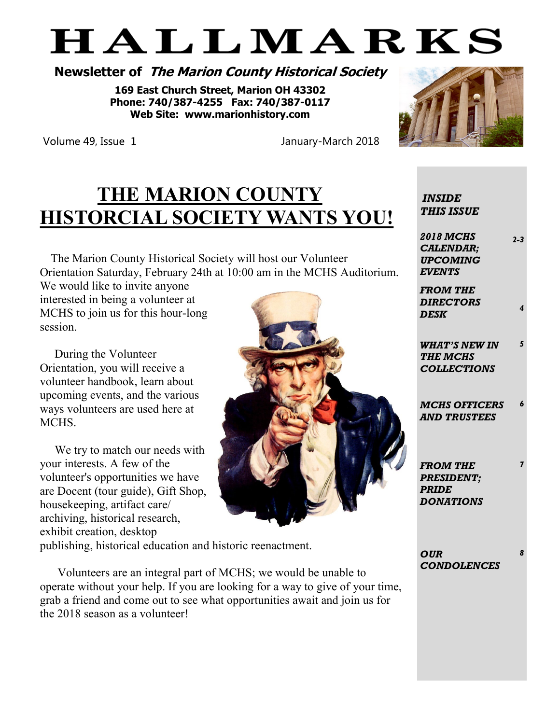# HALLMARKS

# **Newsletter of The Marion County Historical Society**

**169 East Church Street, Marion OH 43302 Phone: 740/387-4255 Fax: 740/387-0117 Web Site: www.marionhistory.com**



Volume 49, Issue 1

January-March 2018

# **THE MARION COUNTY HISTORCIAL SOCIETY WANTS YOU!**

 The Marion County Historical Society will host our Volunteer Orientation Saturday, February 24th at 10:00 am in the MCHS Auditorium.

We would like to invite anyone interested in being a volunteer at MCHS to join us for this hour-long session.

 During the Volunteer Orientation, you will receive a volunteer handbook, learn about upcoming events, and the various ways volunteers are used here at MCHS.

 We try to match our needs with your interests. A few of the volunteer's opportunities we have are Docent (tour guide), Gift Shop, housekeeping, artifact care/ archiving, historical research, exhibit creation, desktop

publishing, historical education and historic reenactment.

 Volunteers are an integral part of MCHS; we would be unable to operate without your help. If you are looking for a way to give of your time, grab a friend and come out to see what opportunities await and join us for the 2018 season as a volunteer!

*INSIDE THIS ISSUE*

*2018 MCHS CALENDAR; UPCOMING EVENTS*

*2-3*

*5*

*6*

*7*

*8*

*FROM THE DIRECTORS DESK <sup>4</sup>*

*WHAT'S NEW IN THE MCHS COLLECTIONS* 

*MCHS OFFICERS AND TRUSTEES*

*FROM THE PRESIDENT; PRIDE DONATIONS*

*OUR CONDOLENCES*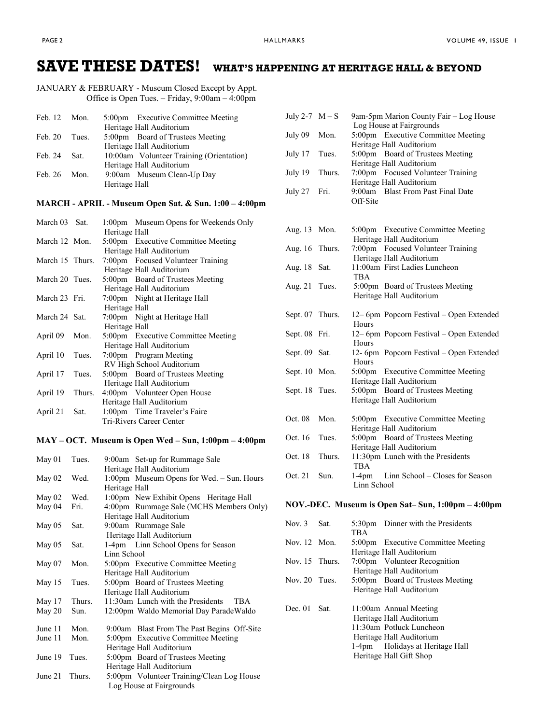## **SAVE THESE DATES! WHAT'S HAPPENING AT HERITAGE HALL & BEYOND**

JANUARY & FEBRUARY - Museum Closed Except by Appt. Office is Open Tues. – Friday,  $9:00$ am –  $4:00$ pm

| Feb. 12 Mon. |        | 5:00pm Executive Committee Meeting       |
|--------------|--------|------------------------------------------|
|              |        | Heritage Hall Auditorium                 |
| Feb. 20      | Tues.  | 5:00pm Board of Trustees Meeting         |
|              |        | Heritage Hall Auditorium                 |
| Feb. 24      | - Sat. | 10:00am Volunteer Training (Orientation) |
|              |        | Heritage Hall Auditorium                 |
| Feb. 26      | Mon.   | 9:00am Museum Clean-Up Day               |
|              |        | Heritage Hall                            |
|              |        |                                          |

#### **MARCH - APRIL - Museum Open Sat. & Sun. 1:00 – 4:00pm**

| March 03 Sat.   |        |               | 1:00pm Museum Opens for Weekends Only |
|-----------------|--------|---------------|---------------------------------------|
|                 |        | Heritage Hall |                                       |
| March 12 Mon.   |        |               | 5:00pm Executive Committee Meeting    |
|                 |        |               | Heritage Hall Auditorium              |
| March 15 Thurs. |        |               | 7:00pm Focused Volunteer Training     |
|                 |        |               | Heritage Hall Auditorium              |
| March 20 Tues.  |        |               | 5:00pm Board of Trustees Meeting      |
|                 |        |               | Heritage Hall Auditorium              |
| March 23 Fri.   |        |               | 7:00pm Night at Heritage Hall         |
|                 |        | Heritage Hall |                                       |
| March 24 Sat.   |        |               | 7:00pm Night at Heritage Hall         |
|                 |        | Heritage Hall |                                       |
| April 09        | Mon.   |               | 5:00pm Executive Committee Meeting    |
|                 |        |               | Heritage Hall Auditorium              |
| April 10        | Tues.  |               | 7:00pm Program Meeting                |
|                 |        |               | RV High School Auditorium             |
| April 17        | Tues.  |               | 5:00pm Board of Trustees Meeting      |
|                 |        |               | Heritage Hall Auditorium              |
| April 19        | Thurs. |               | 4:00pm Volunteer Open House           |
|                 |        |               | Heritage Hall Auditorium              |
| April 21        | Sat.   |               | 1:00pm Time Traveler's Faire          |
|                 |        |               | Tri-Rivers Career Center              |

#### **MAY – OCT. Museum is Open Wed – Sun, 1:00pm – 4:00pm**

| $M$ ay 01 | Tues.  | 9:00am Set-up for Rummage Sale             |
|-----------|--------|--------------------------------------------|
|           |        | Heritage Hall Auditorium                   |
| May $02$  | Wed.   | 1:00pm Museum Opens for Wed. - Sun. Hours  |
|           |        | Heritage Hall                              |
| May $02$  | Wed.   | 1:00pm New Exhibit Opens Heritage Hall     |
| May 04    | Fri.   | 4:00pm Rummage Sale (MCHS Members Only)    |
|           |        | Heritage Hall Auditorium                   |
| May $05$  | Sat.   | 9:00am Rummage Sale                        |
|           |        | Heritage Hall Auditorium                   |
| May $05$  | Sat.   | 1-4pm Linn School Opens for Season         |
|           |        | Linn School                                |
| May $07$  | Mon.   | 5:00pm Executive Committee Meeting         |
|           |        | Heritage Hall Auditorium                   |
| May 15    | Tues.  | 5:00pm Board of Trustees Meeting           |
|           |        | Heritage Hall Auditorium                   |
| May 17    | Thurs. | 11:30am Lunch with the Presidents<br>TBA   |
| May 20    | Sun.   | 12:00pm Waldo Memorial Day Parade Waldo    |
|           |        |                                            |
| June 11   | Mon.   | 9:00am Blast From The Past Begins Off-Site |
| June 11   | Mon.   | 5:00pm Executive Committee Meeting         |
|           |        | Heritage Hall Auditorium                   |
| June 19   | Tues.  | 5:00pm Board of Trustees Meeting           |
|           |        | Heritage Hall Auditorium                   |
| June 21   | Thurs. | 5:00pm Volunteer Training/Clean Log House  |
|           |        | Log House at Fairgrounds                   |

| July 2-7 $M-S$ |        | 9am-5pm Marion County Fair - Log House<br>Log House at Fairgrounds                 |
|----------------|--------|------------------------------------------------------------------------------------|
| July 09        | Mon.   | 5:00pm Executive Committee Meeting<br>Heritage Hall Auditorium                     |
| July 17        | Tues.  | 5:00pm Board of Trustees Meeting<br>Heritage Hall Auditorium                       |
| July 19        | Thurs. | 7:00pm Focused Volunteer Training<br>Heritage Hall Auditorium                      |
| July 27        | Fri.   | <b>Blast From Past Final Date</b><br>9:00am<br>Off-Site                            |
|                |        |                                                                                    |
| Aug. 13        | Mon.   | <b>Executive Committee Meeting</b><br>$5:00 \text{pm}$<br>Heritage Hall Auditorium |
| Aug. 16        | Thurs. | 7:00pm Focused Volunteer Training<br>Heritage Hall Auditorium                      |
| Aug. 18        | Sat.   | 11:00am First Ladies Luncheon<br><b>TBA</b>                                        |
| Aug. 21        | Tues.  | 5:00pm Board of Trustees Meeting<br>Heritage Hall Auditorium                       |
| Sept. 07       | Thurs. | 12-6pm Popcorn Festival - Open Extended<br>Hours                                   |
| Sept. 08       | Fri.   | 12-6pm Popcorn Festival - Open Extended<br>Hours                                   |
| Sept. 09       | Sat.   | 12- 6pm Popcorn Festival - Open Extended<br>Hours                                  |
| Sept. $10$     | Mon.   | 5:00pm Executive Committee Meeting<br>Heritage Hall Auditorium                     |
| Sept. 18       | Tues.  | $5:00 \text{pm}$<br>Board of Trustees Meeting<br>Heritage Hall Auditorium          |
| Oct. 08        | Mon.   | 5:00pm Executive Committee Meeting<br>Heritage Hall Auditorium                     |
| Oct. 16        | Tues.  | 5:00pm Board of Trustees Meeting<br>Heritage Hall Auditorium                       |
| Oct. 18        | Thurs. | 11:30pm Lunch with the Presidents<br><b>TBA</b>                                    |
| Oct. 21        | Sun.   | $1-4$ pm<br>Linn School - Closes for Season<br>Linn School                         |

#### **NOV.-DEC. Museum is Open Sat– Sun, 1:00pm – 4:00pm**

| Nov. $3$       | Sat. |            | 5:30pm Dinner with the Presidents  |
|----------------|------|------------|------------------------------------|
|                |      | <b>TBA</b> |                                    |
| Nov. 12 Mon.   |      |            | 5:00pm Executive Committee Meeting |
|                |      |            | Heritage Hall Auditorium           |
| Nov. 15 Thurs. |      |            | 7:00pm Volunteer Recognition       |
|                |      |            | Heritage Hall Auditorium           |
| Nov. 20 Tues.  |      |            | 5:00pm Board of Trustees Meeting   |
|                |      |            | Heritage Hall Auditorium           |
| Dec. $01$      | Sat. |            | 11:00am Annual Meeting             |
|                |      |            | Heritage Hall Auditorium           |
|                |      |            | 11:30am Potluck Luncheon           |
|                |      |            | Heritage Hall Auditorium           |
|                |      |            | 1-4pm Holidays at Heritage Hall    |
|                |      |            | Heritage Hall Gift Shop            |
|                |      |            |                                    |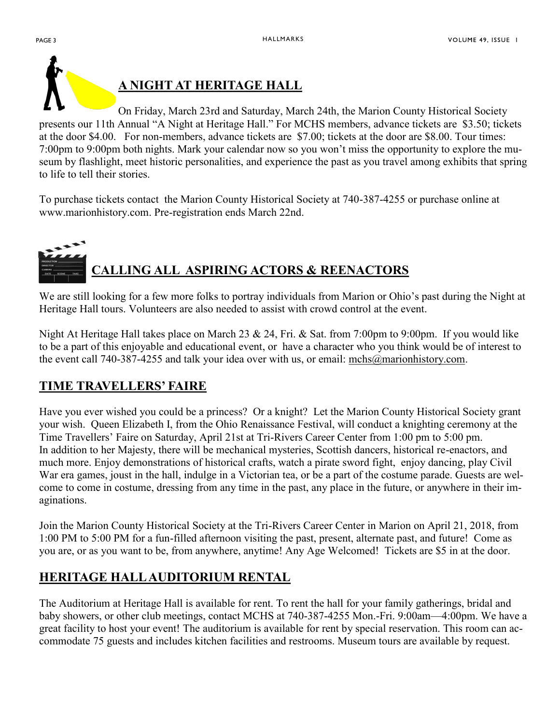

# **A NIGHT AT HERITAGE HALL**

On Friday, March 23rd and Saturday, March 24th, the Marion County Historical Society presents our 11th Annual "A Night at Heritage Hall." For MCHS members, advance tickets are \$3.50; tickets at the door \$4.00. For non-members, advance tickets are \$7.00; tickets at the door are \$8.00. Tour times: 7:00pm to 9:00pm both nights. Mark your calendar now so you won't miss the opportunity to explore the museum by flashlight, meet historic personalities, and experience the past as you travel among exhibits that spring to life to tell their stories.

To purchase tickets contact the Marion County Historical Society at 740-387-4255 or purchase online at www.marionhistory.com. Pre-registration ends March 22nd.

# **CALLING ALL ASPIRING ACTORS & REENACTORS**

We are still looking for a few more folks to portray individuals from Marion or Ohio's past during the Night at Heritage Hall tours. Volunteers are also needed to assist with crowd control at the event.

Night At Heritage Hall takes place on March 23 & 24, Fri. & Sat. from 7:00pm to 9:00pm. If you would like to be a part of this enjoyable and educational event, or have a character who you think would be of interest to the event call 740-387-4255 and talk your idea over with us, or email: mchs@marionhistory.com.

# **TIME TRAVELLERS' FAIRE**

Have you ever wished you could be a princess? Or a knight? Let the Marion County Historical Society grant your wish. Queen Elizabeth I, from the Ohio Renaissance Festival, will conduct a knighting ceremony at the Time Travellers' Faire on Saturday, April 21st at Tri-Rivers Career Center from 1:00 pm to 5:00 pm. In addition to her Majesty, there will be mechanical mysteries, Scottish dancers, historical re-enactors, and much more. Enjoy demonstrations of historical crafts, watch a pirate sword fight, enjoy dancing, play Civil War era games, joust in the hall, indulge in a Victorian tea, or be a part of the costume parade. Guests are welcome to come in costume, dressing from any time in the past, any place in the future, or anywhere in their imaginations.

Join the Marion County Historical Society at the Tri-Rivers Career Center in Marion on April 21, 2018, from 1:00 PM to 5:00 PM for a fun-filled afternoon visiting the past, present, alternate past, and future! Come as you are, or as you want to be, from anywhere, anytime! Any Age Welcomed! Tickets are \$5 in at the door.

# **HERITAGE HALL AUDITORIUM RENTAL**

The Auditorium at Heritage Hall is available for rent. To rent the hall for your family gatherings, bridal and baby showers, or other club meetings, contact MCHS at 740-387-4255 Mon.-Fri. 9:00am—4:00pm. We have a great facility to host your event! The auditorium is available for rent by special reservation. This room can accommodate 75 guests and includes kitchen facilities and restrooms. Museum tours are available by request.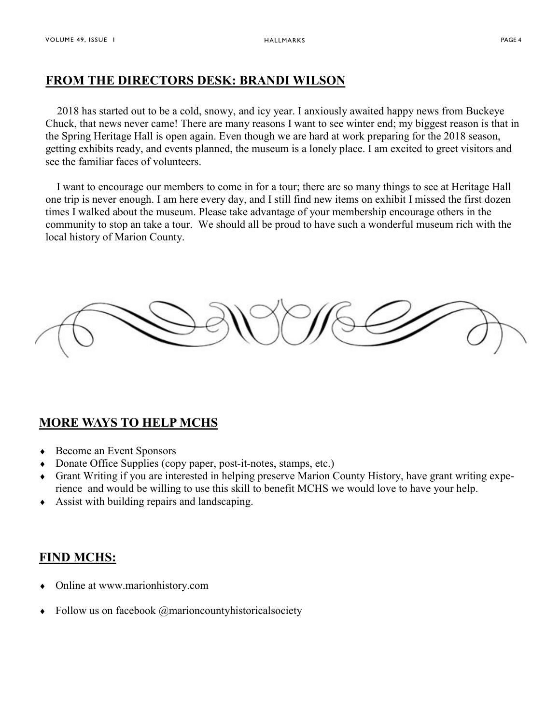### **FROM THE DIRECTORS DESK: BRANDI WILSON**

 2018 has started out to be a cold, snowy, and icy year. I anxiously awaited happy news from Buckeye Chuck, that news never came! There are many reasons I want to see winter end; my biggest reason is that in the Spring Heritage Hall is open again. Even though we are hard at work preparing for the 2018 season, getting exhibits ready, and events planned, the museum is a lonely place. I am excited to greet visitors and see the familiar faces of volunteers.

 I want to encourage our members to come in for a tour; there are so many things to see at Heritage Hall one trip is never enough. I am here every day, and I still find new items on exhibit I missed the first dozen times I walked about the museum. Please take advantage of your membership encourage others in the community to stop an take a tour. We should all be proud to have such a wonderful museum rich with the local history of Marion County.

### **MORE WAYS TO HELP MCHS**

- ◆ Become an Event Sponsors
- Donate Office Supplies (copy paper, post-it-notes, stamps, etc.)
- Grant Writing if you are interested in helping preserve Marion County History, have grant writing experience and would be willing to use this skill to benefit MCHS we would love to have your help.
- Assist with building repairs and landscaping.

### **FIND MCHS:**

- Online at www.marionhistory.com
- Follow us on facebook @marioncountyhistoricalsociety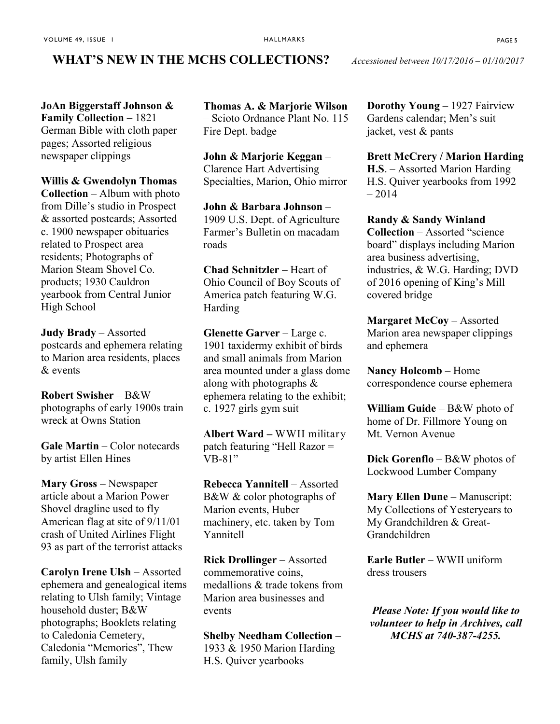#### **WHAT'S NEW IN THE MCHS COLLECTIONS?** *Accessioned between 10/17/2016 – 01/10/2017*

**JoAn Biggerstaff Johnson & Family Collection** – 1821 German Bible with cloth paper pages; Assorted religious newspaper clippings

**Willis & Gwendolyn Thomas** 

**Collection** – Album with photo from Dille's studio in Prospect & assorted postcards; Assorted c. 1900 newspaper obituaries related to Prospect area residents; Photographs of Marion Steam Shovel Co. products; 1930 Cauldron yearbook from Central Junior High School

**Judy Brady** – Assorted postcards and ephemera relating to Marion area residents, places  $\&$  events

**Robert Swisher** – B&W photographs of early 1900s train wreck at Owns Station

**Gale Martin** – Color notecards by artist Ellen Hines

**Mary Gross** – Newspaper article about a Marion Power Shovel dragline used to fly American flag at site of 9/11/01 crash of United Airlines Flight 93 as part of the terrorist attacks

**Carolyn Irene Ulsh** – Assorted ephemera and genealogical items relating to Ulsh family; Vintage household duster; B&W photographs; Booklets relating to Caledonia Cemetery, Caledonia "Memories", Thew family, Ulsh family

**Thomas A. & Marjorie Wilson** – Scioto Ordnance Plant No. 115 Fire Dept. badge

**John & Marjorie Keggan** – Clarence Hart Advertising Specialties, Marion, Ohio mirror

**John & Barbara Johnson** – 1909 U.S. Dept. of Agriculture Farmer's Bulletin on macadam roads

**Chad Schnitzler** – Heart of Ohio Council of Boy Scouts of America patch featuring W.G. Harding

**Glenette Garver** – Large c. 1901 taxidermy exhibit of birds and small animals from Marion area mounted under a glass dome along with photographs & ephemera relating to the exhibit; c. 1927 girls gym suit

**Albert Ward –** WWII military patch featuring "Hell Razor = VB-81"

**Rebecca Yannitell** – Assorted B&W & color photographs of Marion events, Huber machinery, etc. taken by Tom Yannitell

**Rick Drollinger** – Assorted commemorative coins, medallions & trade tokens from Marion area businesses and events

**Shelby Needham Collection** – 1933 & 1950 Marion Harding H.S. Quiver yearbooks

**Dorothy Young** – 1927 Fairview Gardens calendar; Men's suit jacket, vest & pants

**Brett McCrery / Marion Harding H.S**. – Assorted Marion Harding H.S. Quiver yearbooks from 1992 – 2014

**Randy & Sandy Winland Collection** – Assorted "science board" displays including Marion area business advertising, industries, & W.G. Harding; DVD of 2016 opening of King's Mill covered bridge

**Margaret McCoy** – Assorted Marion area newspaper clippings and ephemera

**Nancy Holcomb** – Home correspondence course ephemera

**William Guide** – B&W photo of home of Dr. Fillmore Young on Mt. Vernon Avenue

**Dick Gorenflo** – B&W photos of Lockwood Lumber Company

**Mary Ellen Dune** – Manuscript: My Collections of Yesteryears to My Grandchildren & Great-Grandchildren

**Earle Butler** – WWII uniform dress trousers

*Please Note: If you would like to volunteer to help in Archives, call MCHS at 740-387-4255.*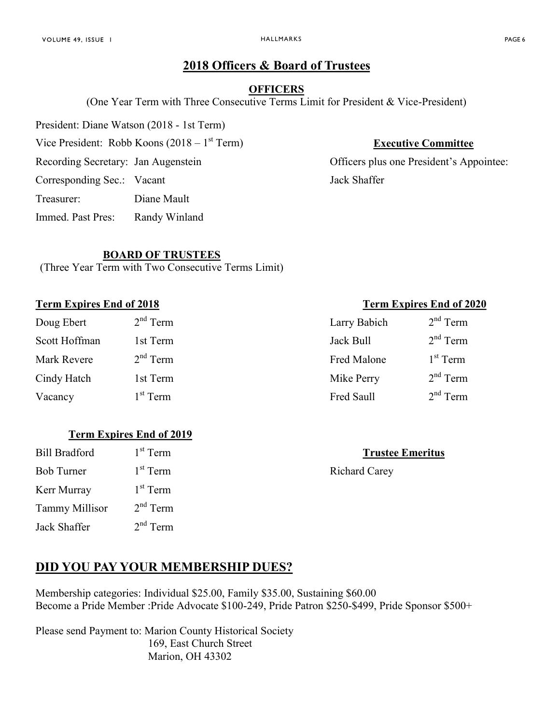## **2018 Officers & Board of Trustees**

#### **OFFICERS**

(One Year Term with Three Consecutive Terms Limit for President & Vice-President)

President: Diane Watson (2018 - 1st Term)

Vice President: Robb Koons  $(2018 - 1<sup>st</sup> Term)$ 

Corresponding Sec.: Vacant Jack Shaffer

Treasurer: Diane Mault

Immed. Past Pres: Randy Winland

#### **BOARD OF TRUSTEES**

(Three Year Term with Two Consecutive Terms Limit)

#### **Term Expires End of 2018 Term Expires End of 2020**

| Doug Ebert    | $2nd$ Term | Larry Babich | $\overline{2}$ |
|---------------|------------|--------------|----------------|
| Scott Hoffman | 1st Term   | Jack Bull    | $\overline{2}$ |
| Mark Revere   | $2nd$ Term | Fred Malone  |                |
| Cindy Hatch   | 1st Term   | Mike Perry   | $\overline{2}$ |
| Vacancy       | $1st$ Term | Fred Saull   | $\overline{2}$ |

#### **Term Expires End of 2019**

| 1 <sup>st</sup> Term |
|----------------------|
| $1st$ Term           |
| $1st$ Term           |
| $2nd$ Term           |
| $2nd$ Term           |
|                      |

# **DID YOU PAY YOUR MEMBERSHIP DUES?**

Membership categories: Individual \$25.00, Family \$35.00, Sustaining \$60.00 Become a Pride Member :Pride Advocate \$100-249, Pride Patron \$250-\$499, Pride Sponsor \$500+

Please send Payment to: Marion County Historical Society 169, East Church Street Marion, OH 43302

## **Executive Committee**

Recording Secretary: Jan Augenstein **Officers** plus one President's Appointee:

| <sup>nd</sup> Term | Larry Babich | $2nd$ Term |
|--------------------|--------------|------------|
| st Term            | Jack Bull    | $2nd$ Term |
| <sup>nd</sup> Term | Fred Malone  | $1st$ Term |
| st Term            | Mike Perry   | $2nd$ Term |
| <sup>st</sup> Term | Fred Saull   | $2nd$ Term |

#### **Trustee Emeritus**

Richard Carey

#### HALLMARKS PAGE 6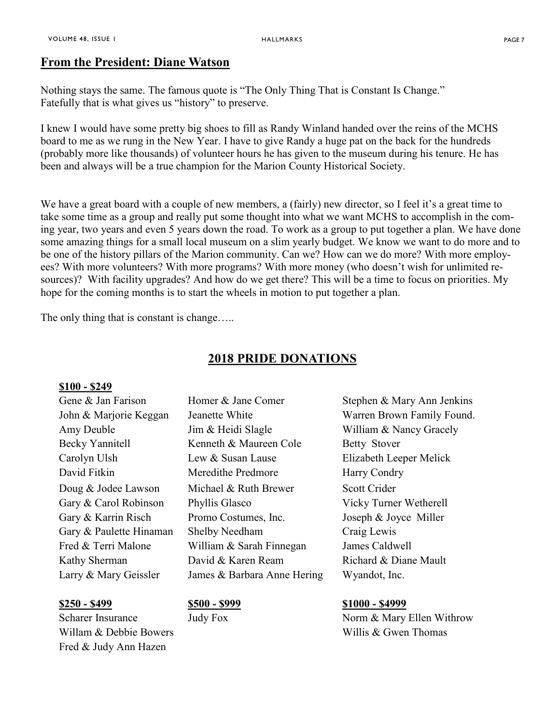## **From the President: Diane Watson**

Nothing stays the same. The famous quote is "The Only Thing That is Constant Is Change." Fatefully that is what gives us "history" to preserve.

I knew I would have some pretty big shoes to fill as Randy Winland handed over the reins of the MCHS board to me as we rung in the New Year. I have to give Randy a huge pat on the back for the hundreds (probably more like thousands) of volunteer hours he has given to the museum during his tenure. He has been and always will be a true champion for the Marion County Historical Society.

We have a great board with a couple of new members, a (fairly) new director, so I feel it's a great time to take some time as a group and really put some thought into what we want MCHS to accomplish in the coming year, two years and even 5 years down the road. To work as a group to put together a plan. We have done some amazing things for a small local museum on a slim yearly budget. We know we want to do more and to be one of the history pillars of the Marion community. Can we? How can we do more? With more employees? With more volunteers? With more programs? With more money (who doesn't wish for unlimited resources)? With facility upgrades? And how do we get there? This will be a time to focus on priorities. My hope for the coming months is to start the wheels in motion to put together a plan.

The only thing that is constant is change…..

#### **2018 PRIDE DONATIONS**

#### **\$100 - \$249**

Willam & Debbie Bowers **Willis & Gwen Thomas** Fred & Judy Ann Hazen

John & Marjorie Keggan Jeanette White White Warren Brown Family Found. Amy Deuble Jim & Heidi Slagle William & Nancy Gracely Becky Yannitell Kenneth & Maureen Cole Betty Stover Carolyn Ulsh Lew & Susan Lause Elizabeth Leeper Melick David Fitkin Meredithe Predmore Harry Condry Doug & Jodee Lawson Michael & Ruth Brewer Scott Crider Gary & Carol Robinson Phyllis Glasco Vicky Turner Wetherell Gary & Karrin Risch Promo Costumes, Inc. Joseph & Joyce Miller Gary & Paulette Hinaman Shelby Needham Craig Lewis Fred & Terri Malone William & Sarah Finnegan James Caldwell Kathy Sherman David & Karen Ream Richard & Diane Mault Larry & Mary Geissler James & Barbara Anne Hering Wyandot, Inc.

Gene & Jan Farison Homer & Jane Comer Stephen & Mary Ann Jenkins

#### **\$250 - \$499 \$500 - \$999 \$1000 - \$4999**

Scharer Insurance Judy Fox Norm & Mary Ellen Withrow